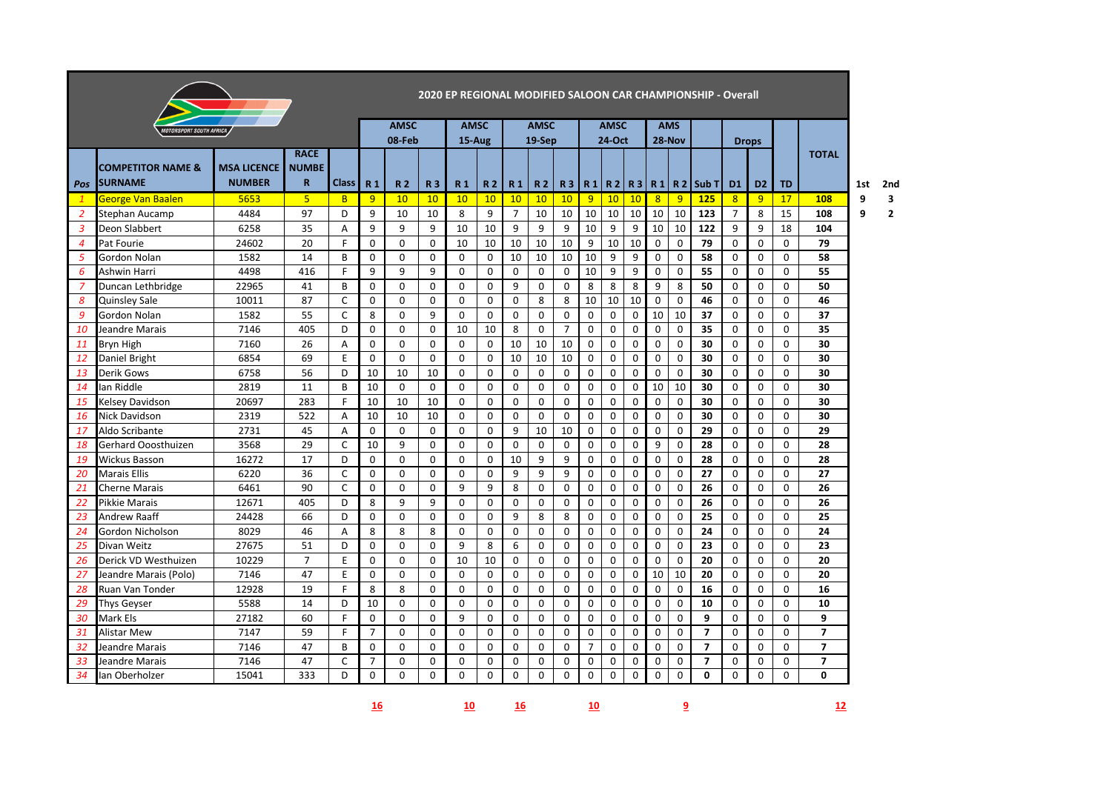| 2020 EP REGIONAL MODIFIED SALOON CAR CHAMPIONSHIP - Overall |                                |                    |                |              |                |                |             |                |           |                |             |                |                |             |             |             |             |                    |                |                |              |                |     |              |
|-------------------------------------------------------------|--------------------------------|--------------------|----------------|--------------|----------------|----------------|-------------|----------------|-----------|----------------|-------------|----------------|----------------|-------------|-------------|-------------|-------------|--------------------|----------------|----------------|--------------|----------------|-----|--------------|
|                                                             | <b>IOTORSPORT SOUTH AFRICA</b> |                    |                |              |                | <b>AMSC</b>    |             | <b>AMSC</b>    |           |                | <b>AMSC</b> |                |                | <b>AMSC</b> |             |             | <b>AMS</b>  |                    |                |                |              |                |     |              |
|                                                             |                                |                    |                |              |                | 08-Feb         |             | 15-Aug         |           |                | 19-Sep      |                |                | 24-Oct      |             |             | 28-Nov      |                    |                | <b>Drops</b>   |              |                |     |              |
|                                                             |                                |                    | <b>RACE</b>    |              |                |                |             |                |           |                |             |                |                |             |             |             |             |                    |                |                |              | <b>TOTAL</b>   |     |              |
|                                                             | <b>COMPETITOR NAME &amp;</b>   | <b>MSA LICENCE</b> | <b>NUMBE</b>   |              |                |                |             |                |           |                |             |                |                |             |             |             |             |                    |                |                |              |                |     |              |
| Pos                                                         | <b>SURNAME</b>                 | <b>NUMBER</b>      | $\mathbf R$    | <b>Class</b> | R <sub>1</sub> | R <sub>2</sub> | <b>R3</b>   | R <sub>1</sub> | <b>R2</b> | R <sub>1</sub> | <b>R2</b>   | <b>R3</b>      | R1             |             | R2 R3       |             |             | $R1$   R 2   Sub T | D <sub>1</sub> | D <sub>2</sub> | <b>TD</b>    |                | 1st | 2nd          |
| $\mathbf{1}$                                                | <b>George Van Baalen</b>       | 5653               | 5 <sub>5</sub> | B.           | 9              | 10             | 10          | 10             | 10        | 10             | 10          | 10             | 9              | 10          | 10          | 8           | 9           | <b>125</b>         | 8              | 9              | 17           | 108            | 9   | 3            |
| 2                                                           | Stephan Aucamp                 | 4484               | 97             | D            | 9              | 10             | 10          | 8              | 9         | $\overline{7}$ | 10          | 10             | 10             | 10          | 10          | 10          | 10          | 123                | $\overline{7}$ | 8              | 15           | 108            | 9   | $\mathbf{2}$ |
| $\mathbf{3}$                                                | Deon Slabbert                  | 6258               | 35             | A            | 9              | 9              | 9           | 10             | 10        | 9              | 9           | 9              | 10             | 9           | 9           | 10          | 10          | 122                | 9              | 9              | 18           | 104            |     |              |
| $\overline{4}$                                              | Pat Fourie                     | 24602              | 20             | F            | $\Omega$       | $\Omega$       | $\Omega$    | 10             | 10        | 10             | 10          | 10             | 9              | 10          | 10          | 0           | 0           | 79                 | $\Omega$       | $\Omega$       | $\mathbf{0}$ | 79             |     |              |
| 5                                                           | Gordon Nolan                   | 1582               | 14             | B            | $\mathbf 0$    | 0              | $\mathbf 0$ | 0              | 0         | 10             | 10          | 10             | 10             | 9           | 9           | $\mathbf 0$ | 0           | 58                 | 0              | 0              | $\mathbf 0$  | 58             |     |              |
| 6                                                           | Ashwin Harri                   | 4498               | 416            | F            | 9              | 9              | 9           | $\mathbf 0$    | 0         | 0              | $\mathbf 0$ | $\mathbf 0$    | 10             | 9           | 9           | 0           | 0           | 55                 | 0              | 0              | 0            | 55             |     |              |
| $\overline{7}$                                              | Duncan Lethbridge              | 22965              | 41             | B            | $\mathbf 0$    | 0              | 0           | $\mathbf 0$    | 0         | 9              | $\mathbf 0$ | $\mathbf 0$    | 8              | 8           | 8           | 9           | 8           | 50                 | 0              | $\mathbf 0$    | 0            | 50             |     |              |
| 8                                                           | <b>Quinsley Sale</b>           | 10011              | 87             | $\mathsf{C}$ | $\Omega$       | $\Omega$       | $\Omega$    | $\mathbf 0$    | $\Omega$  | $\Omega$       | 8           | 8              | 10             | 10          | 10          | $\mathbf 0$ | 0           | 46                 | $\Omega$       | 0              | 0            | 46             |     |              |
| 9                                                           | Gordon Nolan                   | 1582               | 55             | $\mathsf{C}$ | 8              | 0              | 9           | $\mathbf 0$    | 0         | 0              | $\mathbf 0$ | $\mathbf 0$    | $\mathbf 0$    | 0           | 0           | 10          | 10          | 37                 | 0              | 0              | $\mathbf 0$  | 37             |     |              |
| 10                                                          | Jeandre Marais                 | 7146               | 405            | D            | 0              | 0              | 0           | 10             | 10        | 8              | $\mathbf 0$ | $\overline{7}$ | 0              | 0           | 0           | 0           | 0           | 35                 | 0              | 0              | 0            | 35             |     |              |
| 11                                                          | Bryn High                      | 7160               | 26             | A            | 0              | $\Omega$       | 0           | $\mathbf 0$    | 0         | 10             | 10          | 10             | 0              | 0           | 0           | 0           | 0           | 30                 | 0              | $\mathbf 0$    | 0            | 30             |     |              |
| <b>12</b>                                                   | Daniel Bright                  | 6854               | 69             | E            | $\Omega$       | $\Omega$       | $\mathbf 0$ | $\Omega$       | 0         | 10             | 10          | 10             | 0              | 0           | 0           | $\mathbf 0$ | 0           | 30                 | $\Omega$       | 0              | $\mathbf 0$  | 30             |     |              |
| 13                                                          | Derik Gows                     | 6758               | 56             | D            | 10             | 10             | 10          | 0              | 0         | 0              | 0           | 0              | 0              | 0           | 0           | $\mathbf 0$ | 0           | 30                 | 0              | 0              | 0            | 30             |     |              |
| 14                                                          | lan Riddle                     | 2819               | 11             | B            | 10             | 0              | $\mathbf 0$ | 0              | 0         | 0              | $\mathbf 0$ | 0              | 0              | 0           | 0           | 10          | 10          | 30                 | 0              | 0              | 0            | 30             |     |              |
| 15                                                          | Kelsey Davidson                | 20697              | 283            | F            | 10             | 10             | 10          | $\Omega$       | 0         | $\Omega$       | $\mathbf 0$ | $\mathbf 0$    | $\mathbf 0$    | 0           | $\mathbf 0$ | 0           | 0           | 30                 | $\Omega$       | $\Omega$       | 0            | 30             |     |              |
| 16                                                          | Nick Davidson                  | 2319               | 522            | A            | 10             | 10             | 10          | $\Omega$       | 0         | $\Omega$       | $\Omega$    | $\Omega$       | $\Omega$       | 0           | 0           | $\mathbf 0$ | $\mathbf 0$ | 30                 | $\Omega$       | $\Omega$       | 0            | 30             |     |              |
| 17                                                          | Aldo Scribante                 | 2731               | 45             | A            | $\mathbf 0$    | 0              | $\mathbf 0$ | 0              | 0         | 9              | 10          | 10             | 0              | 0           | 0           | $\mathbf 0$ | 0           | 29                 | 0              | $\mathbf 0$    | 0            | 29             |     |              |
| 18                                                          | Gerhard Ooosthuizen            | 3568               | 29             | C            | 10             | 9              | 0           | $\mathbf 0$    | 0         | 0              | $\mathbf 0$ | 0              | 0              | 0           | 0           | 9           | 0           | 28                 | 0              | 0              | 0            | 28             |     |              |
| 19                                                          | <b>Wickus Basson</b>           | 16272              | 17             | D            | $\Omega$       | $\Omega$       | $\Omega$    | $\Omega$       | 0         | 10             | 9           | 9              | $\mathbf 0$    | 0           | 0           | 0           | 0           | 28                 | $\Omega$       | $\Omega$       | 0            | 28             |     |              |
| 20                                                          | <b>Marais Ellis</b>            | 6220               | 36             | $\mathsf{C}$ | $\Omega$       | $\Omega$       | $\Omega$    | $\Omega$       | $\Omega$  | 9              | 9           | 9              | $\Omega$       | 0           | 0           | $\mathbf 0$ | 0           | 27                 | $\Omega$       | $\Omega$       | 0            | 27             |     |              |
| 21                                                          | <b>Cherne Marais</b>           | 6461               | 90             | $\mathsf{C}$ | $\Omega$       | 0              | $\mathbf 0$ | 9              | 9         | 8              | $\mathbf 0$ | $\mathbf 0$    | 0              | 0           | 0           | 0           | 0           | 26                 | 0              | $\mathbf 0$    | 0            | 26             |     |              |
| 22                                                          | Pikkie Marais                  | 12671              | 405            | D            | 8              | 9              | 9           | $\mathbf 0$    | 0         | 0              | 0           | 0              | 0              | 0           | 0           | $\mathbf 0$ | $\mathbf 0$ | 26                 | 0              | 0              | 0            | 26             |     |              |
| 23                                                          | <b>Andrew Raaff</b>            | 24428              | 66             | D            | $\Omega$       | $\Omega$       | $\Omega$    | $\Omega$       | $\Omega$  | 9              | 8           | 8              | $\Omega$       | $\mathbf 0$ | $\Omega$    | $\Omega$    | 0           | 25                 | $\Omega$       | $\Omega$       | $\Omega$     | 25             |     |              |
| 24                                                          | Gordon Nicholson               | 8029               | 46             | A            | 8              | 8              | 8           | $\Omega$       | $\Omega$  | $\Omega$       | $\Omega$    | $\Omega$       | $\Omega$       | 0           | 0           | $\mathbf 0$ | $\mathbf 0$ | 24                 | $\Omega$       | $\Omega$       | $\Omega$     | 24             |     |              |
| 25                                                          | Divan Weitz                    | 27675              | 51             | D            | $\mathbf 0$    | 0              | $\mathbf 0$ | 9              | 8         | 6              | $\mathbf 0$ | $\mathbf 0$    | 0              | 0           | 0           | 0           | 0           | 23                 | 0              | $\mathbf 0$    | 0            | 23             |     |              |
| 26                                                          | Derick VD Westhuizen           | 10229              | $\overline{7}$ | E            | $\Omega$       | 0              | 0           | 10             | 10        | $\Omega$       | $\mathbf 0$ | 0              | 0              | 0           | 0           | $\mathbf 0$ | 0           | 20                 | $\Omega$       | 0              | 0            | 20             |     |              |
| 27                                                          | Jeandre Marais (Polo)          | 7146               | 47             | E            | $\Omega$       | $\Omega$       | $\Omega$    | $\Omega$       | $\Omega$  | 0              | 0           | 0              | 0              | 0           | $\Omega$    | 10          | 10          | 20                 | $\Omega$       | $\Omega$       | $\mathbf 0$  | 20             |     |              |
| 28                                                          | Ruan Van Tonder                | 12928              | 19             | E            | 8              | 8              | $\Omega$    | $\Omega$       | $\Omega$  | $\Omega$       | $\Omega$    | $\Omega$       | $\Omega$       | 0           | $\Omega$    | $\Omega$    | $\Omega$    | 16                 | $\Omega$       | $\Omega$       | $\Omega$     | 16             |     |              |
| 29                                                          | Thys Geyser                    | 5588               | 14             | D            | 10             | 0              | 0           | $\mathbf 0$    | 0         | 0              | $\mathbf 0$ | $\mathbf 0$    | $\mathbf 0$    | 0           | 0           | $\mathbf 0$ | 0           | 10                 | 0              | $\mathbf 0$    | 0            | 10             |     |              |
| 30                                                          | Mark Els                       | 27182              | 60             | F            | $\mathbf 0$    | $\Omega$       | $\Omega$    | 9              | 0         | 0              | $\mathbf 0$ | $\mathbf 0$    | 0              | 0           | 0           | $\mathbf 0$ | $\mathbf 0$ | 9                  | 0              | $\mathbf 0$    | 0            | 9              |     |              |
| 31                                                          | Alistar Mew                    | 7147               | 59             | F.           | $\overline{7}$ | $\Omega$       | $\Omega$    | $\Omega$       | $\Omega$  | $\Omega$       | $\Omega$    | $\Omega$       | $\mathbf 0$    | 0           | $\mathbf 0$ | 0           | 0           | $\overline{7}$     | $\Omega$       | $\Omega$       | 0            | $\overline{ }$ |     |              |
| 32                                                          | Jeandre Marais                 | 7146               | 47             | B            | $\Omega$       | $\Omega$       | $\Omega$    | $\Omega$       | $\Omega$  | $\Omega$       | $\Omega$    | $\Omega$       | $\overline{7}$ | 0           | $\Omega$    | $\Omega$    | $\Omega$    | $\overline{7}$     | $\Omega$       | $\Omega$       | $\Omega$     | $\overline{ }$ |     |              |
| 33                                                          | Jeandre Marais                 | 7146               | 47             | C            | $\overline{7}$ | 0              | 0           | 0              | 0         | 0              | $\mathbf 0$ | 0              | 0              | 0           | 0           | 0           | 0           | $\overline{7}$     | 0              | 0              | 0            | $\overline{ }$ |     |              |
| 34                                                          | Ian Oberholzer                 | 15041              | 333            | D            | 0              | $\Omega$       | 0           | 0              | 0         | 0              | 0           | 0              | 0              | 0           | 0           | $\mathbf 0$ | $\mathbf 0$ | $\mathbf{0}$       | 0              | 0              | 0            | 0              |     |              |
|                                                             |                                |                    |                |              |                |                |             |                |           |                |             |                |                |             |             |             |             |                    |                |                |              |                |     |              |

**10 16 10 9 12**